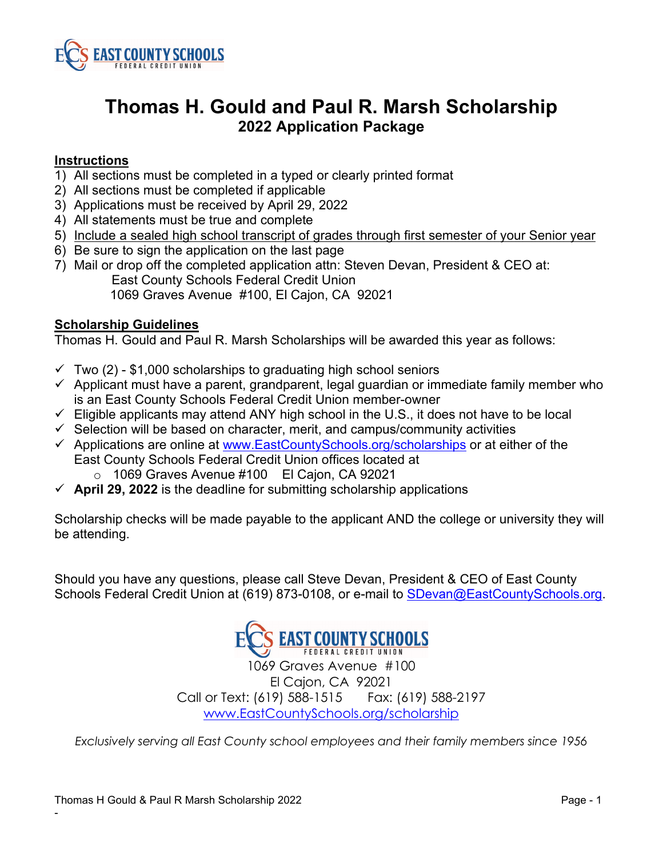

### **Instructions**

- 1) All sections must be completed in a typed or clearly printed format
- 2) All sections must be completed if applicable
- 3) Applications must be received by April 29, 2022
- 4) All statements must be true and complete
- 5) Include a sealed high school transcript of grades through first semester of your Senior year
- 6) Be sure to sign the application on the last page
- 7) Mail or drop off the completed application attn: Steven Devan, President & CEO at: East County Schools Federal Credit Union 1069 Graves Avenue #100, El Cajon, CA 92021

#### **Scholarship Guidelines**

Thomas H. Gould and Paul R. Marsh Scholarships will be awarded this year as follows:

- $\checkmark$  Two (2) \$1,000 scholarships to graduating high school seniors
- $\checkmark$  Applicant must have a parent, grandparent, legal guardian or immediate family member who is an East County Schools Federal Credit Union member-owner
- $\checkmark$  Eligible applicants may attend ANY high school in the U.S., it does not have to be local
- $\checkmark$  Selection will be based on character, merit, and campus/community activities
- $\checkmark$  Applications are online at [www.EastCountySchools.org/](http://www.eastcountyschools.org/)scholarships or at either of the East County Schools Federal Credit Union offices located at
	- o 1069 Graves Avenue #100 El Cajon, CA 92021
- $\checkmark$  April 29, 2022 is the deadline for submitting scholarship applications

Scholarship checks will be made payable to the applicant AND the college or university they will be attending.

Should you have any questions, please call Steve Devan, President & CEO of East County Schools Federal Credit Union at (619) 873-0108, or e-mail to [SDevan@EastCountySchools.org.](mailto:SDevan@EastCountySchools.org)



1069 Graves Avenue #100 El Cajon, CA 92021 Call or Text: (619) 588-1515 Fax: (619) 588-2197 [www.EastCountySchools.org/scholarship](http://www.eastcountyschools.org/scholarship) 

*Exclusively serving all East County school employees and their family members since 1956*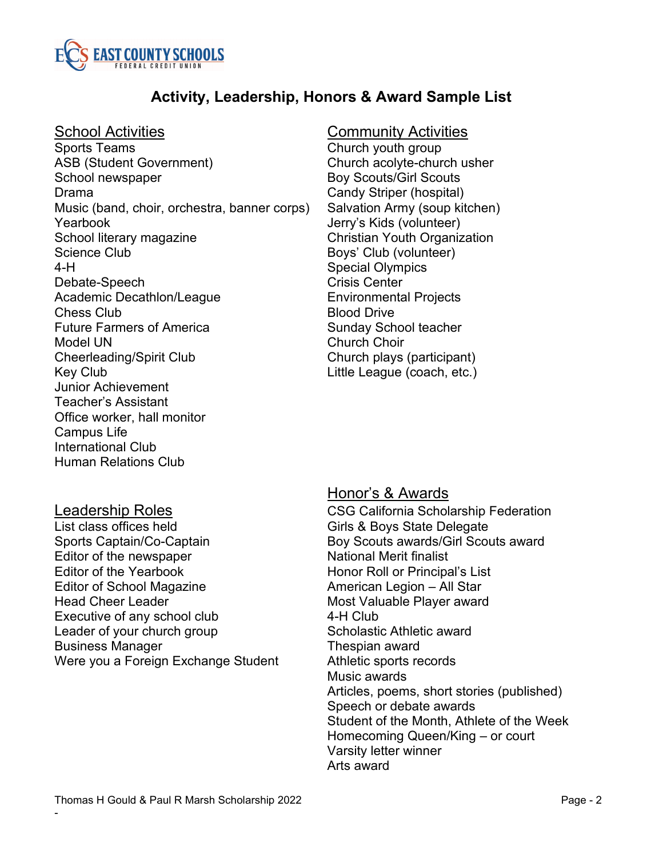

## **Activity, Leadership, Honors & Award Sample List**

Sports Teams Church youth group ASB (Student Government) Church acolyte-church usher School newspaper **Boy Scouts/Girl Scouts** Drama Candy Striper (hospital) Music (band, choir, orchestra, banner corps) Salvation Army (soup kitchen) Yearbook Jerry's Kids (volunteer) School literary magazine **Christian Youth Organization** Science Club Boys' Club (volunteer) 4-H Special Olympics Debate-Speech Crisis Center Academic Decathlon/League **Environmental Projects Chess Club Blood Drive** Future Farmers of America Sunday School teacher Model UN Church Choir Cheerleading/Spirit Club Church plays (participant) Key Club **Little League (coach, etc.)** Junior Achievement Teacher's Assistant Office worker, hall monitor Campus Life International Club Human Relations Club

### School Activities **Community Activities**

-

Sports Captain/Co-Captain **Boy Scouts awards/Girl Scouts award** Editor of the newspaper National Merit finalist Editor of the Yearbook Honor Roll or Principal's List Editor of School Magazine **American Legion – All Star** Head Cheer Leader Most Valuable Player award Executive of any school club 4-H Club Leader of your church group Scholastic Athletic award Business Manager Thespian award Were you a Foreign Exchange Student Athletic sports records

### Honor's & Awards

<u>Leadership Roles</u><br>CSG California Scholarship Federation<br>List class offices held Cirks & Bovs State Delegate Girls & Boys State Delegate Music awards Articles, poems, short stories (published) Speech or debate awards Student of the Month, Athlete of the Week Homecoming Queen/King – or court Varsity letter winner Arts award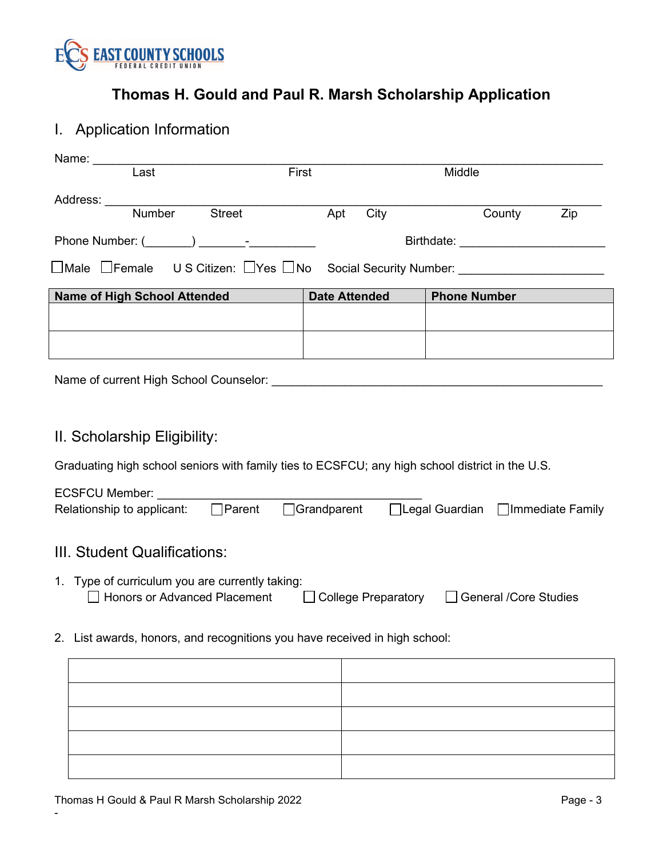

# I. Application Information

| $\overline{\text{Last}}$                                                                                                                                                                                                                    | First                | Middle                                 |  |  |
|---------------------------------------------------------------------------------------------------------------------------------------------------------------------------------------------------------------------------------------------|----------------------|----------------------------------------|--|--|
|                                                                                                                                                                                                                                             |                      |                                        |  |  |
| Address: Number<br>Street Apt                                                                                                                                                                                                               | City                 | County<br>Zip                          |  |  |
|                                                                                                                                                                                                                                             |                      |                                        |  |  |
|                                                                                                                                                                                                                                             |                      | Birthdate: ___________________________ |  |  |
| $\Box$ Male $\Box$ Female US Citizen: $\Box$ Yes $\Box$ No Social Security Number: _______________________                                                                                                                                  |                      |                                        |  |  |
| Name of High School Attended                                                                                                                                                                                                                | <b>Date Attended</b> | <b>Phone Number Phone 2016</b>         |  |  |
|                                                                                                                                                                                                                                             |                      |                                        |  |  |
|                                                                                                                                                                                                                                             |                      |                                        |  |  |
|                                                                                                                                                                                                                                             |                      |                                        |  |  |
|                                                                                                                                                                                                                                             |                      |                                        |  |  |
|                                                                                                                                                                                                                                             |                      |                                        |  |  |
|                                                                                                                                                                                                                                             |                      |                                        |  |  |
|                                                                                                                                                                                                                                             |                      |                                        |  |  |
| II. Scholarship Eligibility:                                                                                                                                                                                                                |                      |                                        |  |  |
| Graduating high school seniors with family ties to ECSFCU; any high school district in the U.S.                                                                                                                                             |                      |                                        |  |  |
|                                                                                                                                                                                                                                             |                      |                                        |  |  |
| ECSFCU Member: ______________<br>Relationship to applicant: <b>Parent Consent Conservent Conserventish Conserventish Conserventish Conserventish Conserventish Conserventish Conserventish Conserventish Conserventish Conserventish Co</b> |                      |                                        |  |  |
|                                                                                                                                                                                                                                             |                      |                                        |  |  |
|                                                                                                                                                                                                                                             |                      |                                        |  |  |
| III. Student Qualifications:                                                                                                                                                                                                                |                      |                                        |  |  |
| 1. Type of curriculum you are currently taking:                                                                                                                                                                                             |                      |                                        |  |  |
| □ Honors or Advanced Placement □ College Preparatory □ General /Core Studies                                                                                                                                                                |                      |                                        |  |  |
|                                                                                                                                                                                                                                             |                      |                                        |  |  |
| 2. List awards, honors, and recognitions you have received in high school:                                                                                                                                                                  |                      |                                        |  |  |
|                                                                                                                                                                                                                                             |                      |                                        |  |  |
|                                                                                                                                                                                                                                             |                      |                                        |  |  |
|                                                                                                                                                                                                                                             |                      |                                        |  |  |
|                                                                                                                                                                                                                                             |                      |                                        |  |  |
|                                                                                                                                                                                                                                             |                      |                                        |  |  |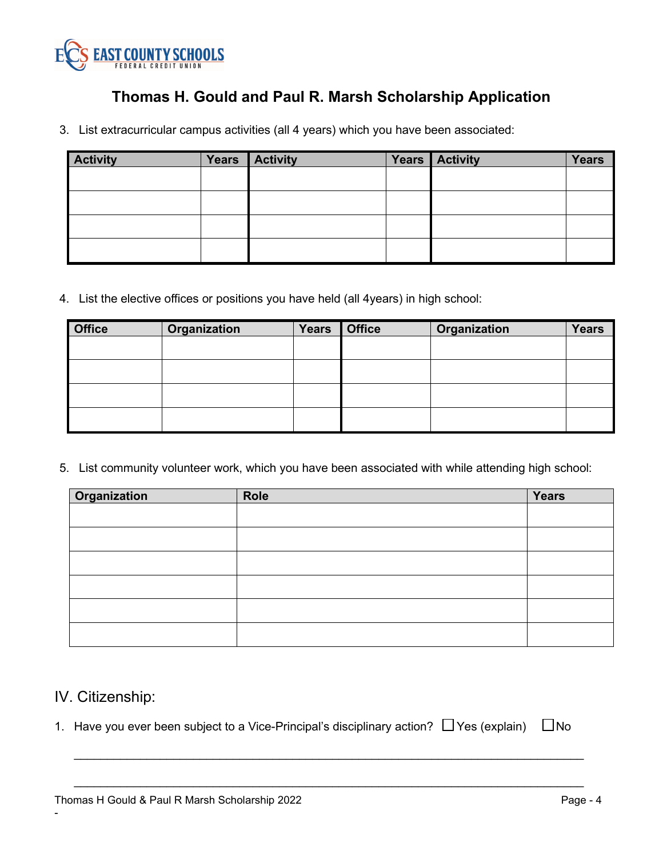

3. List extracurricular campus activities (all 4 years) which you have been associated:

| <b>Activity</b> | Years   Activity | Years Activity | <b>Years</b> |
|-----------------|------------------|----------------|--------------|
|                 |                  |                |              |
|                 |                  |                |              |
|                 |                  |                |              |
|                 |                  |                |              |
|                 |                  |                |              |

4. List the elective offices or positions you have held (all 4years) in high school:

| <b>Office</b> | Organization | <b>Years</b> | <b>Office</b> | Organization | <b>Years</b> |
|---------------|--------------|--------------|---------------|--------------|--------------|
|               |              |              |               |              |              |
|               |              |              |               |              |              |
|               |              |              |               |              |              |
|               |              |              |               |              |              |

5. List community volunteer work, which you have been associated with while attending high school:

| Organization | Role | Years |
|--------------|------|-------|
|              |      |       |
|              |      |       |
|              |      |       |
|              |      |       |
|              |      |       |
|              |      |       |

## IV. Citizenship:

-

1. Have you ever been subject to a Vice-Principal's disciplinary action?  $\Box$  Yes (explain)  $\Box$  No

\_\_\_\_\_\_\_\_\_\_\_\_\_\_\_\_\_\_\_\_\_\_\_\_\_\_\_\_\_\_\_\_\_\_\_\_\_\_\_\_\_\_\_\_\_\_\_\_\_\_\_\_\_\_\_\_\_\_\_\_\_\_\_\_\_\_\_\_\_\_\_\_\_\_\_\_\_

\_\_\_\_\_\_\_\_\_\_\_\_\_\_\_\_\_\_\_\_\_\_\_\_\_\_\_\_\_\_\_\_\_\_\_\_\_\_\_\_\_\_\_\_\_\_\_\_\_\_\_\_\_\_\_\_\_\_\_\_\_\_\_\_\_\_\_\_\_\_\_\_\_\_\_\_\_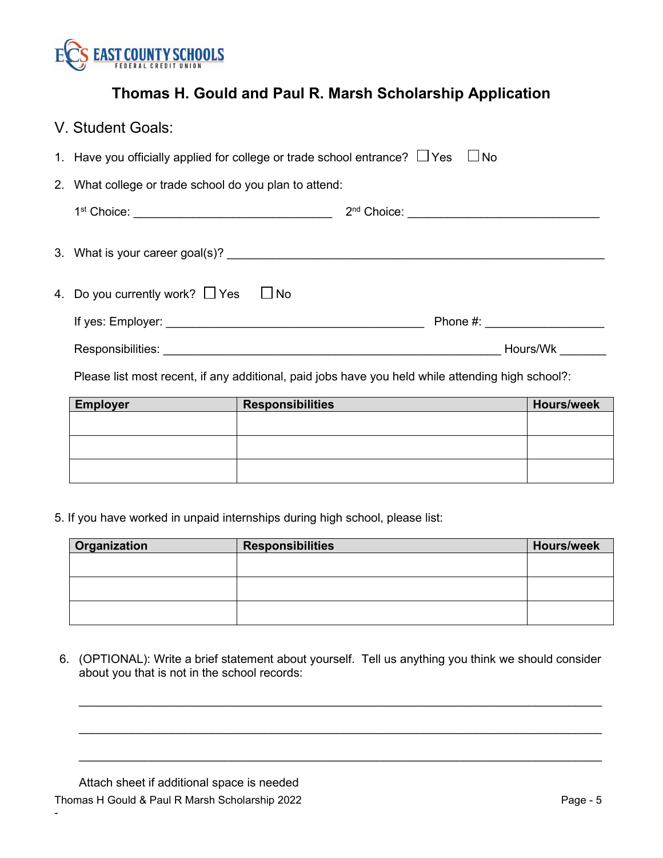

| V. Student Goals:                                                                                                                                                                                                              |  |          |  |
|--------------------------------------------------------------------------------------------------------------------------------------------------------------------------------------------------------------------------------|--|----------|--|
| 1. Have you officially applied for college or trade school entrance? $\Box$ Yes $\Box$ No                                                                                                                                      |  |          |  |
| 2. What college or trade school do you plan to attend:                                                                                                                                                                         |  |          |  |
|                                                                                                                                                                                                                                |  |          |  |
|                                                                                                                                                                                                                                |  |          |  |
| 4. Do you currently work? $\Box$ Yes<br>$\Box$ No                                                                                                                                                                              |  |          |  |
|                                                                                                                                                                                                                                |  | Phone #: |  |
| Responsibilities: Later and Contract and Contract and Contract and Contract and Contract and Contract and Contract and Contract and Contract and Contract and Contract and Contract and Contract and Contract and Contract and |  | Hours/Wk |  |

Please list most recent, if any additional, paid jobs have you held while attending high school?:

| <b>Employer</b> | <b>Responsibilities</b> | <b>Hours/week</b> |
|-----------------|-------------------------|-------------------|
|                 |                         |                   |
|                 |                         |                   |
|                 |                         |                   |
|                 |                         |                   |
|                 |                         |                   |
|                 |                         |                   |

5. If you have worked in unpaid internships during high school, please list:

| Organization | <b>Responsibilities</b> | <b>Hours/week</b> |
|--------------|-------------------------|-------------------|
|              |                         |                   |
|              |                         |                   |
|              |                         |                   |
|              |                         |                   |
|              |                         |                   |
|              |                         |                   |

6. (OPTIONAL): Write a brief statement about yourself. Tell us anything you think we should consider about you that is not in the school records:

 $\_$  , and the set of the set of the set of the set of the set of the set of the set of the set of the set of the set of the set of the set of the set of the set of the set of the set of the set of the set of the set of th

 $\_$  , and the set of the set of the set of the set of the set of the set of the set of the set of the set of the set of the set of the set of the set of the set of the set of the set of the set of the set of the set of th

 $\_$  , and the set of the set of the set of the set of the set of the set of the set of the set of the set of the set of the set of the set of the set of the set of the set of the set of the set of the set of the set of th